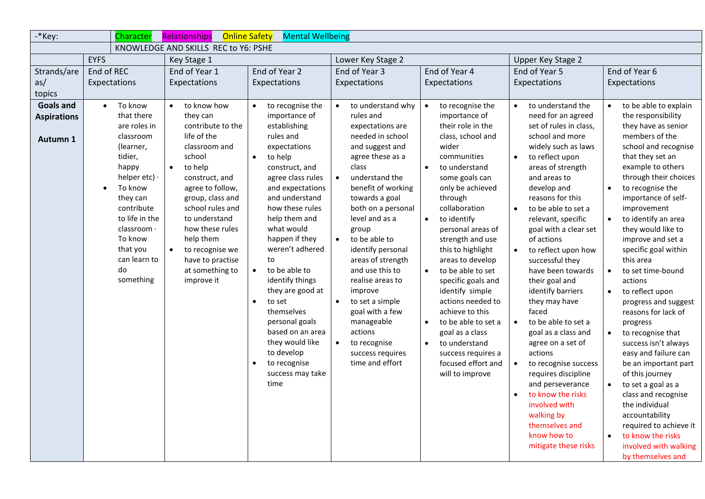| -*Key:                                                              | Character                                                                                                                                                                                                                                               | <b>Online Safety</b><br>Relationships                                                                                                                                                                                                                                                                                 | <b>Mental Wellbeing</b>                                                                                                                                                                                                                                                                                                                                                                                                                                                                                                                 |                                                                                                                                                                                                                                                                                                                                                                                                                                                                                                             |                                                                                                                                                                                                                                                                                                                                                                                                                                                                                                                                                                                          |                                                                                                                                                                                                                                                                                                                                                                                                                                                                                                                                                                                                                                                                                    |                                                                                                                                                                                                                                                                                                                                                                                                                                                                                                                                                                                                                                                                                                                                         |  |
|---------------------------------------------------------------------|---------------------------------------------------------------------------------------------------------------------------------------------------------------------------------------------------------------------------------------------------------|-----------------------------------------------------------------------------------------------------------------------------------------------------------------------------------------------------------------------------------------------------------------------------------------------------------------------|-----------------------------------------------------------------------------------------------------------------------------------------------------------------------------------------------------------------------------------------------------------------------------------------------------------------------------------------------------------------------------------------------------------------------------------------------------------------------------------------------------------------------------------------|-------------------------------------------------------------------------------------------------------------------------------------------------------------------------------------------------------------------------------------------------------------------------------------------------------------------------------------------------------------------------------------------------------------------------------------------------------------------------------------------------------------|------------------------------------------------------------------------------------------------------------------------------------------------------------------------------------------------------------------------------------------------------------------------------------------------------------------------------------------------------------------------------------------------------------------------------------------------------------------------------------------------------------------------------------------------------------------------------------------|------------------------------------------------------------------------------------------------------------------------------------------------------------------------------------------------------------------------------------------------------------------------------------------------------------------------------------------------------------------------------------------------------------------------------------------------------------------------------------------------------------------------------------------------------------------------------------------------------------------------------------------------------------------------------------|-----------------------------------------------------------------------------------------------------------------------------------------------------------------------------------------------------------------------------------------------------------------------------------------------------------------------------------------------------------------------------------------------------------------------------------------------------------------------------------------------------------------------------------------------------------------------------------------------------------------------------------------------------------------------------------------------------------------------------------------|--|
|                                                                     |                                                                                                                                                                                                                                                         | KNOWLEDGE AND SKILLS REC to Y6: PSHE                                                                                                                                                                                                                                                                                  |                                                                                                                                                                                                                                                                                                                                                                                                                                                                                                                                         |                                                                                                                                                                                                                                                                                                                                                                                                                                                                                                             |                                                                                                                                                                                                                                                                                                                                                                                                                                                                                                                                                                                          |                                                                                                                                                                                                                                                                                                                                                                                                                                                                                                                                                                                                                                                                                    |                                                                                                                                                                                                                                                                                                                                                                                                                                                                                                                                                                                                                                                                                                                                         |  |
|                                                                     | <b>EYFS</b>                                                                                                                                                                                                                                             | Key Stage 1                                                                                                                                                                                                                                                                                                           |                                                                                                                                                                                                                                                                                                                                                                                                                                                                                                                                         | Lower Key Stage 2                                                                                                                                                                                                                                                                                                                                                                                                                                                                                           |                                                                                                                                                                                                                                                                                                                                                                                                                                                                                                                                                                                          | Upper Key Stage 2                                                                                                                                                                                                                                                                                                                                                                                                                                                                                                                                                                                                                                                                  |                                                                                                                                                                                                                                                                                                                                                                                                                                                                                                                                                                                                                                                                                                                                         |  |
| Strands/are                                                         | End of REC                                                                                                                                                                                                                                              | End of Year 1                                                                                                                                                                                                                                                                                                         | End of Year 2                                                                                                                                                                                                                                                                                                                                                                                                                                                                                                                           | End of Year 3                                                                                                                                                                                                                                                                                                                                                                                                                                                                                               | End of Year 4                                                                                                                                                                                                                                                                                                                                                                                                                                                                                                                                                                            | End of Year 5                                                                                                                                                                                                                                                                                                                                                                                                                                                                                                                                                                                                                                                                      | End of Year 6                                                                                                                                                                                                                                                                                                                                                                                                                                                                                                                                                                                                                                                                                                                           |  |
| as/                                                                 | Expectations                                                                                                                                                                                                                                            | Expectations                                                                                                                                                                                                                                                                                                          | Expectations                                                                                                                                                                                                                                                                                                                                                                                                                                                                                                                            | Expectations                                                                                                                                                                                                                                                                                                                                                                                                                                                                                                | Expectations                                                                                                                                                                                                                                                                                                                                                                                                                                                                                                                                                                             | Expectations                                                                                                                                                                                                                                                                                                                                                                                                                                                                                                                                                                                                                                                                       | Expectations                                                                                                                                                                                                                                                                                                                                                                                                                                                                                                                                                                                                                                                                                                                            |  |
|                                                                     |                                                                                                                                                                                                                                                         |                                                                                                                                                                                                                                                                                                                       |                                                                                                                                                                                                                                                                                                                                                                                                                                                                                                                                         |                                                                                                                                                                                                                                                                                                                                                                                                                                                                                                             |                                                                                                                                                                                                                                                                                                                                                                                                                                                                                                                                                                                          |                                                                                                                                                                                                                                                                                                                                                                                                                                                                                                                                                                                                                                                                                    |                                                                                                                                                                                                                                                                                                                                                                                                                                                                                                                                                                                                                                                                                                                                         |  |
| topics<br><b>Goals and</b><br><b>Aspirations</b><br><b>Autumn 1</b> | To know<br>$\bullet$<br>that there<br>are roles in<br>classroom<br>(learner,<br>tidier,<br>happy<br>helper etc) $\cdot$<br>To know<br>they can<br>contribute<br>to life in the<br>classroom ·<br>To know<br>that you<br>can learn to<br>do<br>something | to know how<br>$\bullet$<br>they can<br>contribute to the<br>life of the<br>classroom and<br>school<br>to help<br>construct, and<br>agree to follow,<br>group, class and<br>school rules and<br>to understand<br>how these rules<br>help them<br>to recognise we<br>have to practise<br>at something to<br>improve it | to recognise the<br>$\bullet$<br>importance of<br>establishing<br>rules and<br>expectations<br>to help<br>$\bullet$<br>construct, and<br>agree class rules<br>and expectations<br>and understand<br>how these rules<br>help them and<br>what would<br>happen if they<br>weren't adhered<br>to<br>to be able to<br>$\bullet$<br>identify things<br>they are good at<br>to set<br>$\bullet$<br>themselves<br>personal goals<br>based on an area<br>they would like<br>to develop<br>to recognise<br>$\bullet$<br>success may take<br>time | to understand why<br>$\bullet$<br>rules and<br>expectations are<br>needed in school<br>and suggest and<br>agree these as a<br>class<br>understand the<br>$\bullet$<br>benefit of working<br>towards a goal<br>both on a personal<br>level and as a<br>group<br>to be able to<br>$\bullet$<br>identify personal<br>areas of strength<br>and use this to<br>realise areas to<br>improve<br>to set a simple<br>goal with a few<br>manageable<br>actions<br>to recognise<br>success requires<br>time and effort | to recognise the<br>$\bullet$<br>importance of<br>their role in the<br>class, school and<br>wider<br>communities<br>to understand<br>some goals can<br>only be achieved<br>through<br>collaboration<br>to identify<br>$\bullet$<br>personal areas of<br>strength and use<br>this to highlight<br>areas to develop<br>to be able to set<br>$\bullet$<br>specific goals and<br>identify simple<br>actions needed to<br>achieve to this<br>to be able to set a<br>$\bullet$<br>goal as a class<br>to understand<br>$\bullet$<br>success requires a<br>focused effort and<br>will to improve | to understand the<br>$\bullet$<br>need for an agreed<br>set of rules in class,<br>school and more<br>widely such as laws<br>to reflect upon<br>$\bullet$<br>areas of strength<br>and areas to<br>develop and<br>reasons for this<br>to be able to set a<br>relevant, specific<br>goal with a clear set<br>of actions<br>to reflect upon how<br>successful they<br>have been towards<br>their goal and<br>identify barriers<br>they may have<br>faced<br>to be able to set a<br>$\bullet$<br>goal as a class and<br>agree on a set of<br>actions<br>$\bullet$<br>to recognise success<br>requires discipline<br>and perseverance<br>to know the risks<br>$\bullet$<br>involved with | to be able to explain<br>$\bullet$<br>the responsibility<br>they have as senior<br>members of the<br>school and recognise<br>that they set an<br>example to others<br>through their choices<br>to recognise the<br>$\bullet$<br>importance of self-<br>improvement<br>to identify an area<br>$\bullet$<br>they would like to<br>improve and set a<br>specific goal within<br>this area<br>$\bullet$<br>to set time-bound<br>actions<br>to reflect upon<br>$\bullet$<br>progress and suggest<br>reasons for lack of<br>progress<br>to recognise that<br>$\bullet$<br>success isn't always<br>easy and failure can<br>be an important part<br>of this journey<br>$\bullet$<br>to set a goal as a<br>class and recognise<br>the individual |  |
|                                                                     |                                                                                                                                                                                                                                                         |                                                                                                                                                                                                                                                                                                                       |                                                                                                                                                                                                                                                                                                                                                                                                                                                                                                                                         |                                                                                                                                                                                                                                                                                                                                                                                                                                                                                                             |                                                                                                                                                                                                                                                                                                                                                                                                                                                                                                                                                                                          | walking by<br>themselves and<br>know how to<br>mitigate these risks                                                                                                                                                                                                                                                                                                                                                                                                                                                                                                                                                                                                                | accountability<br>required to achieve it<br>to know the risks<br>$\bullet$<br>involved with walking<br>by themselves and                                                                                                                                                                                                                                                                                                                                                                                                                                                                                                                                                                                                                |  |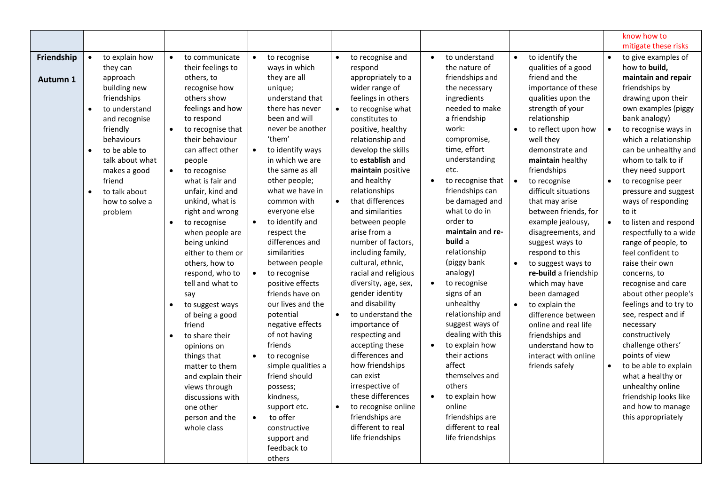|                        |                                                                                                                                                                                                                                                                                                   |                                                                                                                                                                                                                                                                                                                                                                                                                                                                                                                                                                                                                                                                                                  |                                                                                                                                                                                                                                                                                                                                                                                                                                                                                                                                                                                                                                                                                                                                                  |                                                                                                                                                                                                                                                                                                                                                                                                                                                                                                                                                                                                                                                                                                                                                                                                                                   |                                                                                                                                                                                                                                                                                                                                                                                                                                                                                                                                                                                                                                             |                                                                                                                                                                                                                                                                                                                                                                                                                                                                                                                                                                                                                                                                                                            | know how to<br>mitigate these risks                                                                                                                                                                                                                                                                                                                                                                                                                                                                                                                                                                                                                                                                                                                                                                                                                      |
|------------------------|---------------------------------------------------------------------------------------------------------------------------------------------------------------------------------------------------------------------------------------------------------------------------------------------------|--------------------------------------------------------------------------------------------------------------------------------------------------------------------------------------------------------------------------------------------------------------------------------------------------------------------------------------------------------------------------------------------------------------------------------------------------------------------------------------------------------------------------------------------------------------------------------------------------------------------------------------------------------------------------------------------------|--------------------------------------------------------------------------------------------------------------------------------------------------------------------------------------------------------------------------------------------------------------------------------------------------------------------------------------------------------------------------------------------------------------------------------------------------------------------------------------------------------------------------------------------------------------------------------------------------------------------------------------------------------------------------------------------------------------------------------------------------|-----------------------------------------------------------------------------------------------------------------------------------------------------------------------------------------------------------------------------------------------------------------------------------------------------------------------------------------------------------------------------------------------------------------------------------------------------------------------------------------------------------------------------------------------------------------------------------------------------------------------------------------------------------------------------------------------------------------------------------------------------------------------------------------------------------------------------------|---------------------------------------------------------------------------------------------------------------------------------------------------------------------------------------------------------------------------------------------------------------------------------------------------------------------------------------------------------------------------------------------------------------------------------------------------------------------------------------------------------------------------------------------------------------------------------------------------------------------------------------------|------------------------------------------------------------------------------------------------------------------------------------------------------------------------------------------------------------------------------------------------------------------------------------------------------------------------------------------------------------------------------------------------------------------------------------------------------------------------------------------------------------------------------------------------------------------------------------------------------------------------------------------------------------------------------------------------------------|----------------------------------------------------------------------------------------------------------------------------------------------------------------------------------------------------------------------------------------------------------------------------------------------------------------------------------------------------------------------------------------------------------------------------------------------------------------------------------------------------------------------------------------------------------------------------------------------------------------------------------------------------------------------------------------------------------------------------------------------------------------------------------------------------------------------------------------------------------|
| Friendship<br>Autumn 1 | to explain how<br>$\bullet$<br>they can<br>approach<br>building new<br>friendships<br>to understand<br>$\bullet$<br>and recognise<br>friendly<br>behaviours<br>to be able to<br>$\bullet$<br>talk about what<br>makes a good<br>friend<br>to talk about<br>$\bullet$<br>how to solve a<br>problem | $\bullet$<br>to communicate<br>their feelings to<br>others, to<br>recognise how<br>others show<br>feelings and how<br>to respond<br>to recognise that<br>their behaviour<br>can affect other<br>people<br>to recognise<br>$\bullet$<br>what is fair and<br>unfair, kind and<br>unkind, what is<br>right and wrong<br>to recognise<br>when people are<br>being unkind<br>either to them or<br>others, how to<br>respond, who to<br>tell and what to<br>say<br>to suggest ways<br>$\bullet$<br>of being a good<br>friend<br>to share their<br>opinions on<br>things that<br>matter to them<br>and explain their<br>views through<br>discussions with<br>one other<br>person and the<br>whole class | to recognise<br>$\bullet$<br>ways in which<br>they are all<br>unique;<br>understand that<br>there has never<br>been and will<br>never be another<br>'them'<br>to identify ways<br>in which we are<br>the same as all<br>other people;<br>what we have in<br>common with<br>everyone else<br>to identify and<br>$\bullet$<br>respect the<br>differences and<br>similarities<br>between people<br>to recognise<br>$\bullet$<br>positive effects<br>friends have on<br>our lives and the<br>potential<br>negative effects<br>of not having<br>friends<br>to recognise<br>$\bullet$<br>simple qualities a<br>friend should<br>possess;<br>kindness,<br>support etc.<br>to offer<br>$\bullet$<br>constructive<br>support and<br>feedback to<br>others | to recognise and<br>$\bullet$<br>respond<br>appropriately to a<br>wider range of<br>feelings in others<br>$\bullet$<br>to recognise what<br>constitutes to<br>positive, healthy<br>relationship and<br>develop the skills<br>to establish and<br>maintain positive<br>and healthy<br>relationships<br>$\bullet$<br>that differences<br>and similarities<br>between people<br>arise from a<br>number of factors,<br>including family,<br>cultural, ethnic,<br>racial and religious<br>diversity, age, sex,<br>gender identity<br>and disability<br>$\bullet$<br>to understand the<br>importance of<br>respecting and<br>accepting these<br>differences and<br>how friendships<br>can exist<br>irrespective of<br>these differences<br>to recognise online<br>$\bullet$<br>friendships are<br>different to real<br>life friendships | to understand<br>$\bullet$<br>the nature of<br>friendships and<br>the necessary<br>ingredients<br>needed to make<br>a friendship<br>work:<br>compromise,<br>time, effort<br>understanding<br>etc.<br>to recognise that<br>friendships can<br>be damaged and<br>what to do in<br>order to<br>maintain and re-<br>build a<br>relationship<br>(piggy bank<br>analogy)<br>to recognise<br>signs of an<br>unhealthy<br>relationship and<br>suggest ways of<br>dealing with this<br>to explain how<br>their actions<br>affect<br>themselves and<br>others<br>to explain how<br>online<br>friendships are<br>different to real<br>life friendships | to identify the<br>$\bullet$<br>qualities of a good<br>friend and the<br>importance of these<br>qualities upon the<br>strength of your<br>relationship<br>to reflect upon how<br>$\bullet$<br>well they<br>demonstrate and<br>maintain healthy<br>friendships<br>$\bullet$<br>to recognise<br>difficult situations<br>that may arise<br>between friends, for<br>example jealousy,<br>disagreements, and<br>suggest ways to<br>respond to this<br>to suggest ways to<br>$\bullet$<br>re-build a friendship<br>which may have<br>been damaged<br>to explain the<br>$\bullet$<br>difference between<br>online and real life<br>friendships and<br>understand how to<br>interact with online<br>friends safely | $\bullet$<br>to give examples of<br>how to build,<br>maintain and repair<br>friendships by<br>drawing upon their<br>own examples (piggy<br>bank analogy)<br>to recognise ways in<br>$\bullet$<br>which a relationship<br>can be unhealthy and<br>whom to talk to if<br>they need support<br>to recognise peer<br>$\bullet$<br>pressure and suggest<br>ways of responding<br>to it<br>to listen and respond<br>$\bullet$<br>respectfully to a wide<br>range of people, to<br>feel confident to<br>raise their own<br>concerns, to<br>recognise and care<br>about other people's<br>feelings and to try to<br>see, respect and if<br>necessary<br>constructively<br>challenge others'<br>points of view<br>to be able to explain<br>$\bullet$<br>what a healthy or<br>unhealthy online<br>friendship looks like<br>and how to manage<br>this appropriately |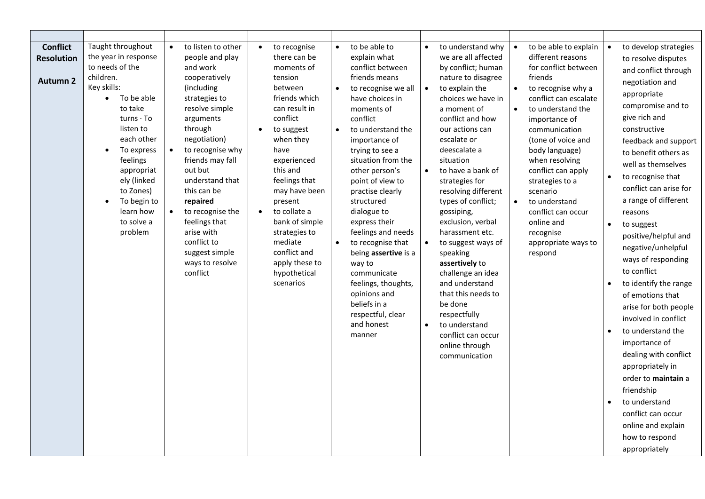| <b>Conflict</b><br><b>Resolution</b><br><b>Autumn 2</b> | Taught throughout<br>the year in response<br>to needs of the<br>children.<br>Key skills:<br>To be able<br>$\bullet$<br>to take<br>$turns \cdot To$<br>listen to<br>each other<br>To express<br>$\bullet$<br>feelings<br>appropriat<br>ely (linked<br>to Zones)<br>To begin to<br>$\bullet$<br>learn how<br>to solve a<br>problem | to listen to other<br>people and play<br>and work<br>cooperatively<br>(including<br>strategies to<br>resolve simple<br>arguments<br>through<br>negotiation)<br>$\bullet$<br>to recognise why<br>friends may fall<br>out but<br>understand that<br>this can be<br>repaired<br>to recognise the<br>$\bullet$<br>feelings that<br>arise with<br>conflict to<br>suggest simple<br>ways to resolve<br>conflict | to recognise<br>there can be<br>moments of<br>tension<br>between<br>friends which<br>can result in<br>conflict<br>to suggest<br>$\bullet$<br>when they<br>have<br>experienced<br>this and<br>feelings that<br>may have been<br>present<br>to collate a<br>$\bullet$<br>bank of simple<br>strategies to<br>mediate<br>conflict and<br>apply these to<br>hypothetical<br>scenarios | to be able to<br>$\bullet$<br>explain what<br>conflict between<br>friends means<br>$\bullet$<br>to recognise we all<br>have choices in<br>moments of<br>conflict<br>to understand the<br>$\bullet$<br>importance of<br>trying to see a<br>situation from the<br>other person's<br>point of view to<br>practise clearly<br>structured<br>dialogue to<br>express their<br>feelings and needs<br>$\bullet$<br>to recognise that<br>being assertive is a<br>way to<br>communicate<br>feelings, thoughts,<br>opinions and<br>beliefs in a<br>respectful, clear<br>and honest<br>manner | to understand why<br>$\bullet$<br>we are all affected<br>by conflict; human<br>nature to disagree<br>$\bullet$<br>to explain the<br>choices we have in<br>a moment of<br>conflict and how<br>our actions can<br>escalate or<br>deescalate a<br>situation<br>to have a bank of<br>$\bullet$<br>strategies for<br>resolving different<br>types of conflict;<br>gossiping,<br>exclusion, verbal<br>harassment etc.<br>$\bullet$<br>to suggest ways of<br>speaking<br>assertively to<br>challenge an idea<br>and understand<br>that this needs to<br>be done<br>respectfully<br>to understand<br>$\bullet$<br>conflict can occur<br>online through<br>communication | to be able to explain<br>$\bullet$<br>different reasons<br>for conflict between<br>friends<br>$\bullet$<br>to recognise why a<br>conflict can escalate<br>to understand the<br>$\bullet$<br>importance of<br>communication<br>(tone of voice and<br>body language)<br>when resolving<br>conflict can apply<br>strategies to a<br>scenario<br>$\bullet$<br>to understand<br>conflict can occur<br>online and<br>recognise<br>appropriate ways to<br>respond | to develop strategies<br>$\bullet$<br>to resolve disputes<br>and conflict through<br>negotiation and<br>appropriate<br>compromise and to<br>give rich and<br>constructive<br>feedback and support<br>to benefit others as<br>well as themselves<br>to recognise that<br>$\bullet$<br>conflict can arise for<br>a range of different<br>reasons<br>$\bullet$<br>to suggest<br>positive/helpful and<br>negative/unhelpful<br>ways of responding<br>to conflict<br>to identify the range<br>of emotions that<br>arise for both people<br>involved in conflict<br>to understand the<br>$\bullet$<br>importance of<br>dealing with conflict<br>appropriately in<br>order to maintain a<br>friendship<br>to understand<br>$\bullet$<br>conflict can occur<br>online and explain<br>how to respond<br>appropriately |
|---------------------------------------------------------|----------------------------------------------------------------------------------------------------------------------------------------------------------------------------------------------------------------------------------------------------------------------------------------------------------------------------------|-----------------------------------------------------------------------------------------------------------------------------------------------------------------------------------------------------------------------------------------------------------------------------------------------------------------------------------------------------------------------------------------------------------|----------------------------------------------------------------------------------------------------------------------------------------------------------------------------------------------------------------------------------------------------------------------------------------------------------------------------------------------------------------------------------|-----------------------------------------------------------------------------------------------------------------------------------------------------------------------------------------------------------------------------------------------------------------------------------------------------------------------------------------------------------------------------------------------------------------------------------------------------------------------------------------------------------------------------------------------------------------------------------|-----------------------------------------------------------------------------------------------------------------------------------------------------------------------------------------------------------------------------------------------------------------------------------------------------------------------------------------------------------------------------------------------------------------------------------------------------------------------------------------------------------------------------------------------------------------------------------------------------------------------------------------------------------------|------------------------------------------------------------------------------------------------------------------------------------------------------------------------------------------------------------------------------------------------------------------------------------------------------------------------------------------------------------------------------------------------------------------------------------------------------------|--------------------------------------------------------------------------------------------------------------------------------------------------------------------------------------------------------------------------------------------------------------------------------------------------------------------------------------------------------------------------------------------------------------------------------------------------------------------------------------------------------------------------------------------------------------------------------------------------------------------------------------------------------------------------------------------------------------------------------------------------------------------------------------------------------------|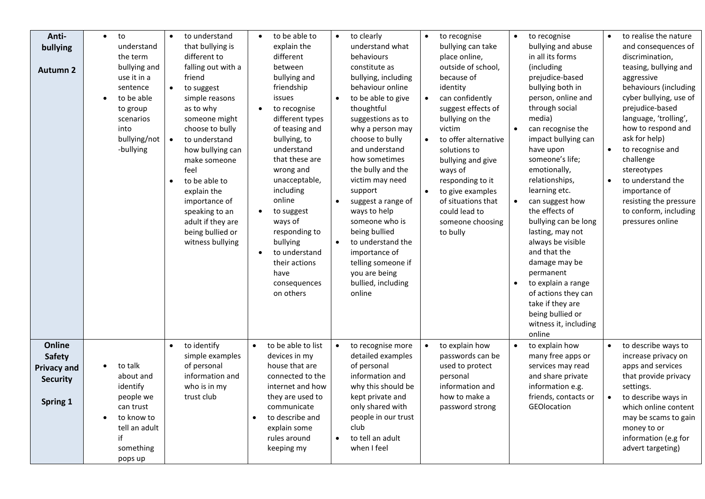| Anti-<br>bullying<br><b>Autumn 2</b>                                         | to<br>$\bullet$<br>understand<br>the term<br>bullying and<br>use it in a<br>sentence<br>to be able<br>to group<br>scenarios<br>into<br>bullying/not<br>-bullying | to understand<br>$\bullet$<br>that bullying is<br>different to<br>falling out with a<br>friend<br>to suggest<br>simple reasons<br>as to why<br>someone might<br>choose to bully<br>$\bullet$<br>to understand<br>how bullying can<br>make someone<br>feel<br>to be able to<br>$\bullet$<br>explain the<br>importance of<br>speaking to an<br>adult if they are<br>being bullied or<br>witness bullying | to be able to<br>explain the<br>different<br>between<br>bullying and<br>friendship<br>issues<br>to recognise<br>different types<br>of teasing and<br>bullying, to<br>understand<br>that these are<br>wrong and<br>unacceptable,<br>including<br>online<br>to suggest<br>ways of<br>responding to<br>bullying<br>to understand<br>their actions<br>have<br>consequences<br>on others | to clearly<br>$\bullet$<br>understand what<br>behaviours<br>constitute as<br>bullying, including<br>behaviour online<br>to be able to give<br>$\bullet$<br>thoughtful<br>suggestions as to<br>why a person may<br>choose to bully<br>and understand<br>how sometimes<br>the bully and the<br>victim may need<br>support<br>$\bullet$<br>suggest a range of<br>ways to help<br>someone who is<br>being bullied<br>$\bullet$<br>to understand the<br>importance of<br>telling someone if<br>you are being<br>bullied, including<br>online | to recognise<br>$\bullet$<br>bullying can take<br>place online,<br>outside of school,<br>because of<br>identity<br>can confidently<br>$\bullet$<br>suggest effects of<br>bullying on the<br>victim<br>to offer alternative<br>$\bullet$<br>solutions to<br>bullying and give<br>ways of<br>responding to it<br>to give examples<br>$\bullet$<br>of situations that<br>could lead to<br>someone choosing<br>to bully | to recognise<br>$\bullet$<br>bullying and abuse<br>in all its forms<br>(including<br>prejudice-based<br>bullying both in<br>person, online and<br>through social<br>media)<br>can recognise the<br>impact bullying can<br>have upon<br>someone's life;<br>emotionally,<br>relationships,<br>learning etc.<br>can suggest how<br>$\bullet$<br>the effects of<br>bullying can be long<br>lasting, may not<br>always be visible<br>and that the<br>damage may be<br>permanent<br>to explain a range<br>of actions they can<br>take if they are<br>being bullied or<br>witness it, including<br>online | to realise the nature<br>and consequences of<br>discrimination,<br>teasing, bullying and<br>aggressive<br>behaviours (including<br>cyber bullying, use of<br>prejudice-based<br>language, 'trolling',<br>how to respond and<br>ask for help)<br>to recognise and<br>challenge<br>stereotypes<br>to understand the<br>importance of<br>resisting the pressure<br>to conform, including<br>pressures online |
|------------------------------------------------------------------------------|------------------------------------------------------------------------------------------------------------------------------------------------------------------|--------------------------------------------------------------------------------------------------------------------------------------------------------------------------------------------------------------------------------------------------------------------------------------------------------------------------------------------------------------------------------------------------------|-------------------------------------------------------------------------------------------------------------------------------------------------------------------------------------------------------------------------------------------------------------------------------------------------------------------------------------------------------------------------------------|-----------------------------------------------------------------------------------------------------------------------------------------------------------------------------------------------------------------------------------------------------------------------------------------------------------------------------------------------------------------------------------------------------------------------------------------------------------------------------------------------------------------------------------------|---------------------------------------------------------------------------------------------------------------------------------------------------------------------------------------------------------------------------------------------------------------------------------------------------------------------------------------------------------------------------------------------------------------------|----------------------------------------------------------------------------------------------------------------------------------------------------------------------------------------------------------------------------------------------------------------------------------------------------------------------------------------------------------------------------------------------------------------------------------------------------------------------------------------------------------------------------------------------------------------------------------------------------|-----------------------------------------------------------------------------------------------------------------------------------------------------------------------------------------------------------------------------------------------------------------------------------------------------------------------------------------------------------------------------------------------------------|
| Online<br><b>Safety</b><br><b>Privacy and</b><br><b>Security</b><br>Spring 1 | to talk<br>about and<br>identify<br>people we<br>can trust<br>to know to<br>tell an adult<br>if<br>something<br>pops up                                          | to identify<br>$\bullet$<br>simple examples<br>of personal<br>information and<br>who is in my<br>trust club                                                                                                                                                                                                                                                                                            | to be able to list<br>$\bullet$<br>devices in my<br>house that are<br>connected to the<br>internet and how<br>they are used to<br>communicate<br>to describe and<br>$\bullet$<br>explain some<br>rules around<br>keeping my                                                                                                                                                         | to recognise more<br>$\bullet$<br>detailed examples<br>of personal<br>information and<br>why this should be<br>kept private and<br>only shared with<br>people in our trust<br>club<br>to tell an adult<br>$\bullet$<br>when I feel                                                                                                                                                                                                                                                                                                      | to explain how<br>$\bullet$<br>passwords can be<br>used to protect<br>personal<br>information and<br>how to make a<br>password strong                                                                                                                                                                                                                                                                               | to explain how<br>$\bullet$<br>many free apps or<br>services may read<br>and share private<br>information e.g.<br>friends, contacts or<br>GEOlocation                                                                                                                                                                                                                                                                                                                                                                                                                                              | to describe ways to<br>increase privacy on<br>apps and services<br>that provide privacy<br>settings.<br>to describe ways in<br>$\bullet$<br>which online content<br>may be scams to gain<br>money to or<br>information (e.g for<br>advert targeting)                                                                                                                                                      |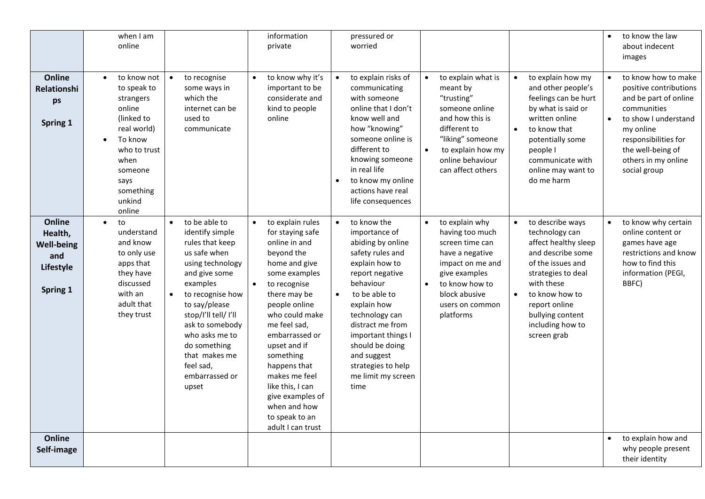|                                                                        | when I am<br>online                                                                                                                                                                |                                                                                                                                                                                                                                                                                                 | information<br>private                                                                                                                                                                                                                                                                                                                                                                            | pressured or<br>worried                                                                                                                                                                                                                                                                                                             |                                                                                                                                                                                                  |                                                                                                                                                                                                                                                              | to know the law<br>$\bullet$<br>about indecent<br>images                                                                                                                                                                    |
|------------------------------------------------------------------------|------------------------------------------------------------------------------------------------------------------------------------------------------------------------------------|-------------------------------------------------------------------------------------------------------------------------------------------------------------------------------------------------------------------------------------------------------------------------------------------------|---------------------------------------------------------------------------------------------------------------------------------------------------------------------------------------------------------------------------------------------------------------------------------------------------------------------------------------------------------------------------------------------------|-------------------------------------------------------------------------------------------------------------------------------------------------------------------------------------------------------------------------------------------------------------------------------------------------------------------------------------|--------------------------------------------------------------------------------------------------------------------------------------------------------------------------------------------------|--------------------------------------------------------------------------------------------------------------------------------------------------------------------------------------------------------------------------------------------------------------|-----------------------------------------------------------------------------------------------------------------------------------------------------------------------------------------------------------------------------|
| Online<br><b>Relationshi</b><br>ps<br>Spring 1                         | to know not<br>$\bullet$<br>to speak to<br>strangers<br>online<br>(linked to<br>real world)<br>To know<br>who to trust<br>when<br>someone<br>says<br>something<br>unkind<br>online | to recognise<br>some ways in<br>which the<br>internet can be<br>used to<br>communicate                                                                                                                                                                                                          | to know why it's<br>$\bullet$<br>important to be<br>considerate and<br>kind to people<br>online                                                                                                                                                                                                                                                                                                   | to explain risks of<br>communicating<br>with someone<br>online that I don't<br>know well and<br>how "knowing"<br>someone online is<br>different to<br>knowing someone<br>in real life<br>to know my online<br>actions have real<br>life consequences                                                                                | to explain what is<br>meant by<br>"trusting"<br>someone online<br>and how this is<br>different to<br>"liking" someone<br>$\bullet$<br>to explain how my<br>online behaviour<br>can affect others | to explain how my<br>$\bullet$<br>and other people's<br>feelings can be hurt<br>by what is said or<br>written online<br>$\bullet$<br>to know that<br>potentially some<br>people I<br>communicate with<br>online may want to<br>do me harm                    | to know how to make<br>positive contributions<br>and be part of online<br>communities<br>to show I understand<br>$\bullet$<br>my online<br>responsibilities for<br>the well-being of<br>others in my online<br>social group |
| Online<br>Health,<br><b>Well-being</b><br>and<br>Lifestyle<br>Spring 1 | to<br>$\bullet$<br>understand<br>and know<br>to only use<br>apps that<br>they have<br>discussed<br>with an<br>adult that<br>they trust                                             | to be able to<br>identify simple<br>rules that keep<br>us safe when<br>using technology<br>and give some<br>examples<br>to recognise how<br>to say/please<br>stop/l'll tell/ I'll<br>ask to somebody<br>who asks me to<br>do something<br>that makes me<br>feel sad.<br>embarrassed or<br>upset | to explain rules<br>$\bullet$<br>for staying safe<br>online in and<br>beyond the<br>home and give<br>some examples<br>$\bullet$<br>to recognise<br>there may be<br>people online<br>who could make<br>me feel sad,<br>embarrassed or<br>upset and if<br>something<br>happens that<br>makes me feel<br>like this, I can<br>give examples of<br>when and how<br>to speak to an<br>adult I can trust | to know the<br>$\bullet$<br>importance of<br>abiding by online<br>safety rules and<br>explain how to<br>report negative<br>behaviour<br>to be able to<br>$\bullet$<br>explain how<br>technology can<br>distract me from<br>important things I<br>should be doing<br>and suggest<br>strategies to help<br>me limit my screen<br>time | to explain why<br>having too much<br>screen time can<br>have a negative<br>impact on me and<br>give examples<br>to know how to<br>$\bullet$<br>block abusive<br>users on common<br>platforms     | to describe ways<br>$\bullet$<br>technology can<br>affect healthy sleep<br>and describe some<br>of the issues and<br>strategies to deal<br>with these<br>to know how to<br>$\bullet$<br>report online<br>bullying content<br>including how to<br>screen grab | to know why certain<br>online content or<br>games have age<br>restrictions and know<br>how to find this<br>information (PEGI,<br>BBFC)                                                                                      |
| Online<br>Self-image                                                   |                                                                                                                                                                                    |                                                                                                                                                                                                                                                                                                 |                                                                                                                                                                                                                                                                                                                                                                                                   |                                                                                                                                                                                                                                                                                                                                     |                                                                                                                                                                                                  |                                                                                                                                                                                                                                                              | to explain how and<br>$\bullet$<br>why people present<br>their identity                                                                                                                                                     |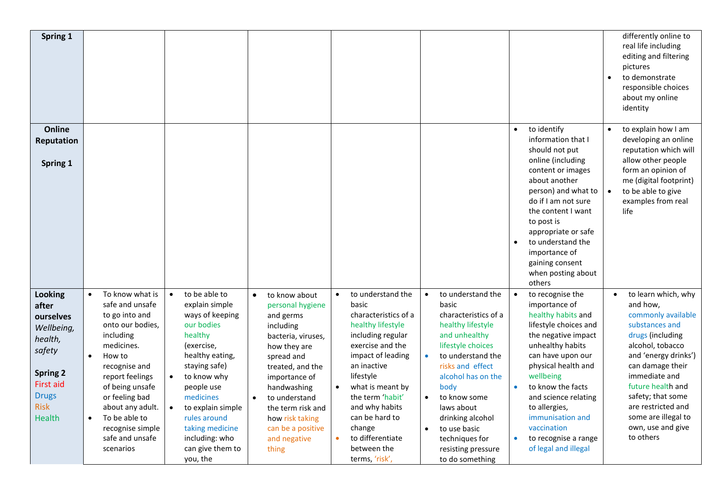| Spring 1                                                                                                                                         |                                                                                                                                                                                                                                                                                                                        |                                                                                                                                                                                                                                                                                                |                                                                                                                                                                                                                                                                                                      |                                                                                                                                                                                                                                                                                                                                        |                                                                                                                                                                                                                                                                                                                                                                       |                                                                                                                                                                                                                                                                                                                                                                              | differently online to<br>real life including<br>editing and filtering<br>pictures<br>to demonstrate<br>$\bullet$<br>responsible choices<br>about my online<br>identity                                                                                                                                             |
|--------------------------------------------------------------------------------------------------------------------------------------------------|------------------------------------------------------------------------------------------------------------------------------------------------------------------------------------------------------------------------------------------------------------------------------------------------------------------------|------------------------------------------------------------------------------------------------------------------------------------------------------------------------------------------------------------------------------------------------------------------------------------------------|------------------------------------------------------------------------------------------------------------------------------------------------------------------------------------------------------------------------------------------------------------------------------------------------------|----------------------------------------------------------------------------------------------------------------------------------------------------------------------------------------------------------------------------------------------------------------------------------------------------------------------------------------|-----------------------------------------------------------------------------------------------------------------------------------------------------------------------------------------------------------------------------------------------------------------------------------------------------------------------------------------------------------------------|------------------------------------------------------------------------------------------------------------------------------------------------------------------------------------------------------------------------------------------------------------------------------------------------------------------------------------------------------------------------------|--------------------------------------------------------------------------------------------------------------------------------------------------------------------------------------------------------------------------------------------------------------------------------------------------------------------|
| Online<br>Reputation<br>Spring 1                                                                                                                 |                                                                                                                                                                                                                                                                                                                        |                                                                                                                                                                                                                                                                                                |                                                                                                                                                                                                                                                                                                      |                                                                                                                                                                                                                                                                                                                                        |                                                                                                                                                                                                                                                                                                                                                                       | to identify<br>$\bullet$<br>information that I<br>should not put<br>online (including<br>content or images<br>about another<br>person) and what to<br>do if I am not sure<br>the content I want<br>to post is<br>appropriate or safe<br>to understand the<br>$\bullet$<br>importance of<br>gaining consent<br>when posting about<br>others                                   | to explain how I am<br>$\bullet$<br>developing an online<br>reputation which will<br>allow other people<br>form an opinion of<br>me (digital footprint)<br>to be able to give<br>examples from real<br>life                                                                                                        |
| Looking<br>after<br>ourselves<br>Wellbeing,<br>health,<br>safety<br><b>Spring 2</b><br><b>First aid</b><br><b>Drugs</b><br><b>Risk</b><br>Health | To know what is<br>$\bullet$<br>safe and unsafe<br>to go into and<br>onto our bodies,<br>including<br>medicines.<br>How to<br>$\bullet$<br>recognise and<br>report feelings<br>of being unsafe<br>or feeling bad<br>about any adult.<br>To be able to<br>$\bullet$<br>recognise simple<br>safe and unsafe<br>scenarios | to be able to<br>$\bullet$<br>explain simple<br>ways of keeping<br>our bodies<br>healthy<br>(exercise,<br>healthy eating,<br>staying safe)<br>to know why<br>people use<br>medicines<br>to explain simple<br>rules around<br>taking medicine<br>including: who<br>can give them to<br>you, the | to know about<br>$\bullet$<br>personal hygiene<br>and germs<br>including<br>bacteria, viruses,<br>how they are<br>spread and<br>treated, and the<br>importance of<br>handwashing<br>to understand<br>$\bullet$<br>the term risk and<br>how risk taking<br>can be a positive<br>and negative<br>thing | to understand the<br>$\bullet$<br>basic<br>characteristics of a<br>healthy lifestyle<br>including regular<br>exercise and the<br>impact of leading<br>an inactive<br>lifestyle<br>what is meant by<br>the term 'habit'<br>and why habits<br>can be hard to<br>change<br>to differentiate<br>$\bullet$<br>between the<br>terms, 'risk', | to understand the<br>$\bullet$<br>basic<br>characteristics of a<br>healthy lifestyle<br>and unhealthy<br>lifestyle choices<br>to understand the<br>$\bullet$<br>risks and effect<br>alcohol has on the<br>body<br>to know some<br>$\bullet$<br>laws about<br>drinking alcohol<br>to use basic<br>$\bullet$<br>techniques for<br>resisting pressure<br>to do something | $\bullet$<br>to recognise the<br>importance of<br>healthy habits and<br>lifestyle choices and<br>the negative impact<br>unhealthy habits<br>can have upon our<br>physical health and<br>wellbeing<br>to know the facts<br>$\bullet$<br>and science relating<br>to allergies,<br>immunisation and<br>vaccination<br>to recognise a range<br>$\bullet$<br>of legal and illegal | to learn which, why<br>$\bullet$<br>and how,<br>commonly available<br>substances and<br>drugs (including<br>alcohol, tobacco<br>and 'energy drinks')<br>can damage their<br>immediate and<br>future health and<br>safety; that some<br>are restricted and<br>some are illegal to<br>own, use and give<br>to others |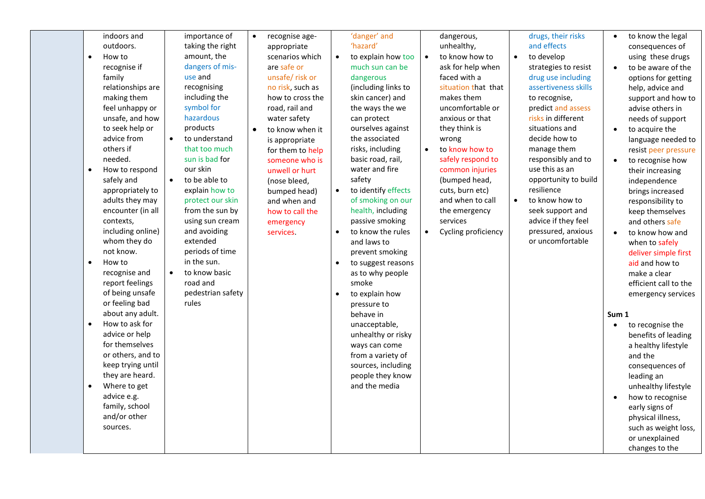| indoors and         | importance of              | recognise age-<br>$\bullet$ | 'danger' and                     | dangerous,                       | drugs, their risks          | to know the legal     |
|---------------------|----------------------------|-----------------------------|----------------------------------|----------------------------------|-----------------------------|-----------------------|
| outdoors.           | taking the right           | appropriate                 | 'hazard'                         | unhealthy,                       | and effects                 | consequences of       |
| How to<br>$\bullet$ | amount, the                | scenarios which             | to explain how too<br>$\bullet$  | to know how to<br>$\bullet$      | to develop<br>$\bullet$     | using these drugs     |
| recognise if        | dangers of mis-            | are safe or                 | much sun can be                  | ask for help when                | strategies to resist        | to be aware of the    |
| family              | use and                    | unsafe/risk or              | dangerous                        | faced with a                     | drug use including          | options for getting   |
| relationships are   | recognising                | no risk, such as            | (including links to              | situation that that              | assertiveness skills        | help, advice and      |
| making them         | including the              | how to cross the            | skin cancer) and                 | makes them                       | to recognise,               | support and how to    |
| feel unhappy or     | symbol for                 | road, rail and              | the ways the we                  | uncomfortable or                 | predict and assess          | advise others in      |
| unsafe, and how     | hazardous                  | water safety                | can protect                      | anxious or that                  | risks in different          | needs of support      |
| to seek help or     | products                   | to know when it             | ourselves against                | they think is                    | situations and              | to acquire the        |
| advice from         | to understand<br>$\bullet$ | is appropriate              | the associated                   | wrong                            | decide how to               | language needed to    |
| others if           | that too much              | for them to help            | risks, including                 | to know how to                   | manage them                 | resist peer pressure  |
| needed.             | sun is bad for             | someone who is              | basic road, rail,                | safely respond to                | responsibly and to          | to recognise how      |
| How to respond      | our skin                   | unwell or hurt              | water and fire                   | common injuries                  | use this as an              | their increasing      |
| safely and          | $\bullet$<br>to be able to | (nose bleed,                | safety                           | (bumped head,                    | opportunity to build        | independence          |
| appropriately to    | explain how to             | bumped head)                | to identify effects<br>$\bullet$ | cuts, burn etc)                  | resilience                  | brings increased      |
| adults they may     | protect our skin           | and when and                | of smoking on our                | and when to call                 | to know how to<br>$\bullet$ | responsibility to     |
| encounter (in all   | from the sun by            | how to call the             | health, including                | the emergency                    | seek support and            | keep themselves       |
| contexts,           | using sun cream            | emergency                   | passive smoking                  | services                         | advice if they feel         | and others safe       |
| including online)   | and avoiding               | services.                   | to know the rules<br>$\bullet$   | Cycling proficiency<br>$\bullet$ | pressured, anxious          | to know how and       |
| whom they do        | extended                   |                             | and laws to                      |                                  | or uncomfortable            | when to safely        |
| not know.           | periods of time            |                             | prevent smoking                  |                                  |                             | deliver simple first  |
| How to<br>$\bullet$ | in the sun.                |                             | to suggest reasons<br>$\bullet$  |                                  |                             | aid and how to        |
| recognise and       | to know basic<br>$\bullet$ |                             | as to why people                 |                                  |                             | make a clear          |
| report feelings     | road and                   |                             | smoke                            |                                  |                             | efficient call to the |
| of being unsafe     | pedestrian safety          |                             | to explain how<br>$\bullet$      |                                  |                             | emergency services    |
| or feeling bad      | rules                      |                             | pressure to                      |                                  |                             |                       |
| about any adult.    |                            |                             | behave in                        |                                  |                             | Sum 1                 |
| How to ask for      |                            |                             | unacceptable,                    |                                  |                             | to recognise the      |
| advice or help      |                            |                             | unhealthy or risky               |                                  |                             | benefits of leading   |
| for themselves      |                            |                             | ways can come                    |                                  |                             | a healthy lifestyle   |
| or others, and to   |                            |                             | from a variety of                |                                  |                             | and the               |
| keep trying until   |                            |                             | sources, including               |                                  |                             | consequences of       |
| they are heard.     |                            |                             | people they know                 |                                  |                             | leading an            |
| Where to get        |                            |                             | and the media                    |                                  |                             | unhealthy lifestyle   |
| advice e.g.         |                            |                             |                                  |                                  |                             | how to recognise      |
| family, school      |                            |                             |                                  |                                  |                             | early signs of        |
| and/or other        |                            |                             |                                  |                                  |                             | physical illness,     |
| sources.            |                            |                             |                                  |                                  |                             | such as weight loss,  |
|                     |                            |                             |                                  |                                  |                             | or unexplained        |
|                     |                            |                             |                                  |                                  |                             | changes to the        |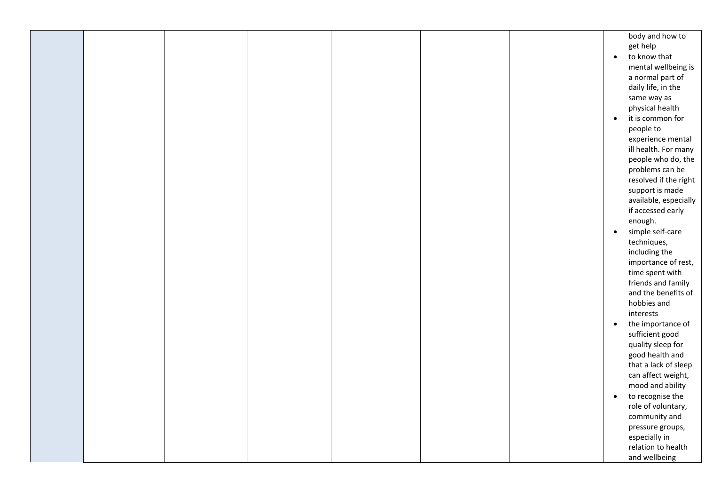|  |  |  |           | body and how to       |
|--|--|--|-----------|-----------------------|
|  |  |  |           | get help              |
|  |  |  | $\bullet$ | to know that          |
|  |  |  |           |                       |
|  |  |  |           | mental wellbeing is   |
|  |  |  |           | a normal part of      |
|  |  |  |           | daily life, in the    |
|  |  |  |           | same way as           |
|  |  |  |           |                       |
|  |  |  |           | physical health       |
|  |  |  | $\bullet$ | it is common for      |
|  |  |  |           | people to             |
|  |  |  |           | experience mental     |
|  |  |  |           |                       |
|  |  |  |           | ill health. For many  |
|  |  |  |           | people who do, the    |
|  |  |  |           | problems can be       |
|  |  |  |           | resolved if the right |
|  |  |  |           | support is made       |
|  |  |  |           |                       |
|  |  |  |           | available, especially |
|  |  |  |           | if accessed early     |
|  |  |  |           | enough.               |
|  |  |  | $\bullet$ | simple self-care      |
|  |  |  |           | techniques,           |
|  |  |  |           |                       |
|  |  |  |           | including the         |
|  |  |  |           | importance of rest,   |
|  |  |  |           | time spent with       |
|  |  |  |           | friends and family    |
|  |  |  |           | and the benefits of   |
|  |  |  |           | hobbies and           |
|  |  |  |           |                       |
|  |  |  |           | interests             |
|  |  |  | $\bullet$ | the importance of     |
|  |  |  |           | sufficient good       |
|  |  |  |           | quality sleep for     |
|  |  |  |           | good health and       |
|  |  |  |           |                       |
|  |  |  |           | that a lack of sleep  |
|  |  |  |           | can affect weight,    |
|  |  |  |           | mood and ability      |
|  |  |  | $\bullet$ | to recognise the      |
|  |  |  |           |                       |
|  |  |  |           | role of voluntary,    |
|  |  |  |           | community and         |
|  |  |  |           | pressure groups,      |
|  |  |  |           | especially in         |
|  |  |  |           | relation to health    |
|  |  |  |           |                       |
|  |  |  |           | and wellbeing         |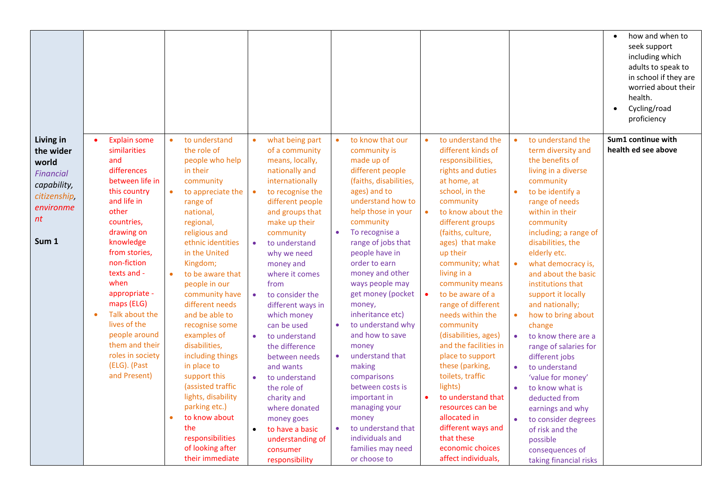|                                                                                                                |                                   |                                                                                                                                                                                                                                                                                                                                                      |           |                                                                                                                                                                                                                                                                                                                                                                                                                                                                                                                                                        |                                                                                         |                                                                                                                                                                                                                                                                                                                                                                                                                                                                                                                                                     |                                                               |                                                                                                                                                                                                                                                                                                                                                                                                                                                                                                                                                                                   |                                                  |                                                                                                                                                                                                                                                                                                                                                                                                                                                                                                                                                                                                                              |                                                                                                      |                                                                                                                                                                                                                                                                                                                                                                                                                                                                                                                                                                                                                                                  | $\bullet$ | how and when to<br>seek support<br>including which<br>adults to speak to<br>in school if they are<br>worried about their<br>health.<br>Cycling/road<br>proficiency |
|----------------------------------------------------------------------------------------------------------------|-----------------------------------|------------------------------------------------------------------------------------------------------------------------------------------------------------------------------------------------------------------------------------------------------------------------------------------------------------------------------------------------------|-----------|--------------------------------------------------------------------------------------------------------------------------------------------------------------------------------------------------------------------------------------------------------------------------------------------------------------------------------------------------------------------------------------------------------------------------------------------------------------------------------------------------------------------------------------------------------|-----------------------------------------------------------------------------------------|-----------------------------------------------------------------------------------------------------------------------------------------------------------------------------------------------------------------------------------------------------------------------------------------------------------------------------------------------------------------------------------------------------------------------------------------------------------------------------------------------------------------------------------------------------|---------------------------------------------------------------|-----------------------------------------------------------------------------------------------------------------------------------------------------------------------------------------------------------------------------------------------------------------------------------------------------------------------------------------------------------------------------------------------------------------------------------------------------------------------------------------------------------------------------------------------------------------------------------|--------------------------------------------------|------------------------------------------------------------------------------------------------------------------------------------------------------------------------------------------------------------------------------------------------------------------------------------------------------------------------------------------------------------------------------------------------------------------------------------------------------------------------------------------------------------------------------------------------------------------------------------------------------------------------------|------------------------------------------------------------------------------------------------------|--------------------------------------------------------------------------------------------------------------------------------------------------------------------------------------------------------------------------------------------------------------------------------------------------------------------------------------------------------------------------------------------------------------------------------------------------------------------------------------------------------------------------------------------------------------------------------------------------------------------------------------------------|-----------|--------------------------------------------------------------------------------------------------------------------------------------------------------------------|
| Living in<br>the wider<br>world<br><b>Financial</b><br>capability,<br>citizenship,<br>environme<br>nt<br>Sum 1 | $\bullet$<br>and<br>other<br>when | <b>Explain some</b><br>similarities<br>differences<br>between life in<br>this country<br>and life in<br>countries,<br>drawing on<br>knowledge<br>from stories,<br>non-fiction<br>texts and -<br>appropriate -<br>maps (ELG)<br>Talk about the<br>lives of the<br>people around<br>them and their<br>roles in society<br>(ELG). (Past<br>and Present) | $\bullet$ | to understand<br>the role of<br>people who help<br>in their<br>community<br>to appreciate the<br>range of<br>national,<br>regional,<br>religious and<br>ethnic identities<br>in the United<br>Kingdom;<br>to be aware that<br>people in our<br>community have<br>different needs<br>and be able to<br>recognise some<br>examples of<br>disabilities,<br>including things<br>in place to<br>support this<br>(assisted traffic<br>lights, disability<br>parking etc.)<br>to know about<br>the<br>responsibilities<br>of looking after<br>their immediate | $\bullet$<br>$\bullet$<br>$\bullet$<br>$\bullet$<br>$\bullet$<br>$\bullet$<br>$\bullet$ | what being part<br>of a community<br>means, locally,<br>nationally and<br>internationally<br>to recognise the<br>different people<br>and groups that<br>make up their<br>community<br>to understand<br>why we need<br>money and<br>where it comes<br>from<br>to consider the<br>different ways in<br>which money<br>can be used<br>to understand<br>the difference<br>between needs<br>and wants<br>to understand<br>the role of<br>charity and<br>where donated<br>money goes<br>to have a basic<br>understanding of<br>consumer<br>responsibility | $\bullet$<br>$\bullet$<br>$\bullet$<br>$\bullet$<br>$\bullet$ | to know that our<br>community is<br>made up of<br>different people<br>(faiths, disabilities,<br>ages) and to<br>understand how to<br>help those in your<br>community<br>To recognise a<br>range of jobs that<br>people have in<br>order to earn<br>money and other<br>ways people may<br>get money (pocket<br>money,<br>inheritance etc)<br>to understand why<br>and how to save<br>money<br>understand that<br>making<br>comparisons<br>between costs is<br>important in<br>managing your<br>money<br>to understand that<br>individuals and<br>families may need<br>or choose to | $\bullet$<br>$\bullet$<br>$\bullet$<br>$\bullet$ | to understand the<br>different kinds of<br>responsibilities,<br>rights and duties<br>at home, at<br>school, in the<br>community<br>to know about the<br>different groups<br>(faiths, culture,<br>ages) that make<br>up their<br>community; what<br>living in a<br>community means<br>to be aware of a<br>range of different<br>needs within the<br>community<br>(disabilities, ages)<br>and the facilities in<br>place to support<br>these (parking,<br>toilets, traffic<br>lights)<br>to understand that<br>resources can be<br>allocated in<br>different ways and<br>that these<br>economic choices<br>affect individuals, | $\bullet$<br>$\bullet$<br>$\bullet$<br>$\bullet$<br>$\bullet$<br>$\bullet$<br>$\bullet$<br>$\bullet$ | to understand the<br>term diversity and<br>the benefits of<br>living in a diverse<br>community<br>to be identify a<br>range of needs<br>within in their<br>community<br>including; a range of<br>disabilities, the<br>elderly etc.<br>what democracy is,<br>and about the basic<br>institutions that<br>support it locally<br>and nationally;<br>how to bring about<br>change<br>to know there are a<br>range of salaries for<br>different jobs<br>to understand<br>'value for money'<br>to know what is<br>deducted from<br>earnings and why<br>to consider degrees<br>of risk and the<br>possible<br>consequences of<br>taking financial risks |           | Sum1 continue with<br>health ed see above                                                                                                                          |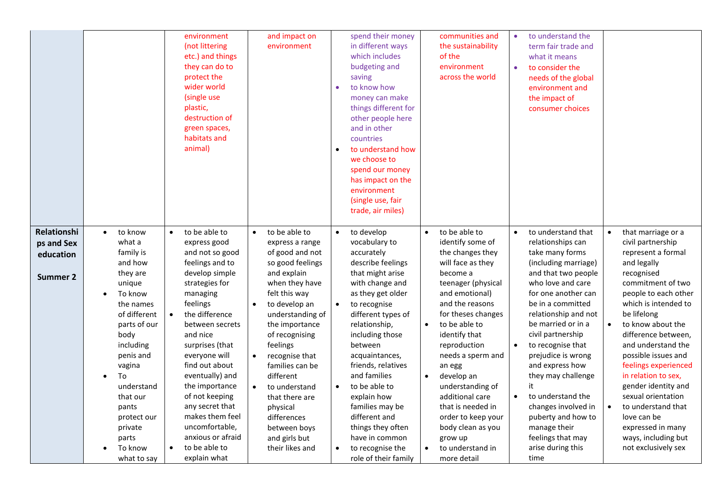|                         |                                   | environment<br>(not littering<br>etc.) and things<br>they can do to<br>protect the<br>wider world<br>(single use<br>plastic,<br>destruction of<br>green spaces,<br>habitats and<br>animal) | and impact on<br>environment                   | spend their money<br>in different ways<br>which includes<br>budgeting and<br>saving<br>to know how<br>$\bullet$<br>money can make<br>things different for<br>other people here<br>and in other<br>countries<br>to understand how<br>$\bullet$<br>we choose to<br>spend our money<br>has impact on the<br>environment<br>(single use, fair<br>trade, air miles) | communities and<br>the sustainability<br>of the<br>environment<br>across the world | to understand the<br>$\bullet$<br>term fair trade and<br>what it means<br>to consider the<br>$\bullet$<br>needs of the global<br>environment and<br>the impact of<br>consumer choices |                                              |
|-------------------------|-----------------------------------|--------------------------------------------------------------------------------------------------------------------------------------------------------------------------------------------|------------------------------------------------|----------------------------------------------------------------------------------------------------------------------------------------------------------------------------------------------------------------------------------------------------------------------------------------------------------------------------------------------------------------|------------------------------------------------------------------------------------|---------------------------------------------------------------------------------------------------------------------------------------------------------------------------------------|----------------------------------------------|
| Relationshi             | to know<br>$\bullet$<br>what a    | to be able to<br>express good                                                                                                                                                              | to be able to<br>$\bullet$                     | to develop<br>$\bullet$                                                                                                                                                                                                                                                                                                                                        | to be able to<br>$\bullet$<br>identify some of                                     | to understand that<br>$\bullet$                                                                                                                                                       | that marriage or a<br>civil partnership      |
| ps and Sex<br>education | family is                         | and not so good                                                                                                                                                                            | express a range<br>of good and not             | vocabulary to<br>accurately                                                                                                                                                                                                                                                                                                                                    | the changes they                                                                   | relationships can<br>take many forms                                                                                                                                                  | represent a formal                           |
|                         | and how<br>they are               | feelings and to<br>develop simple                                                                                                                                                          | so good feelings<br>and explain                | describe feelings<br>that might arise                                                                                                                                                                                                                                                                                                                          | will face as they<br>become a                                                      | (including marriage)<br>and that two people                                                                                                                                           | and legally<br>recognised                    |
| Summer 2                | unique                            | strategies for                                                                                                                                                                             | when they have                                 | with change and                                                                                                                                                                                                                                                                                                                                                | teenager (physical                                                                 | who love and care                                                                                                                                                                     | commitment of two                            |
|                         | To know<br>$\bullet$<br>the names | managing<br>feelings                                                                                                                                                                       | felt this way<br>to develop an<br>$\bullet$    | as they get older<br>to recognise<br>$\bullet$                                                                                                                                                                                                                                                                                                                 | and emotional)<br>and the reasons                                                  | for one another can<br>be in a committed                                                                                                                                              | people to each other<br>which is intended to |
|                         | of different                      | the difference<br>$\bullet$                                                                                                                                                                | understanding of                               | different types of                                                                                                                                                                                                                                                                                                                                             | for theses changes                                                                 | relationship and not                                                                                                                                                                  | be lifelong                                  |
|                         | parts of our<br>body              | between secrets<br>and nice                                                                                                                                                                | the importance<br>of recognising               | relationship,<br>including those                                                                                                                                                                                                                                                                                                                               | to be able to<br>$\bullet$<br>identify that                                        | be married or in a<br>civil partnership                                                                                                                                               | to know about the<br>difference between,     |
|                         | including                         | surprises (that                                                                                                                                                                            | feelings                                       | between                                                                                                                                                                                                                                                                                                                                                        | reproduction                                                                       | to recognise that<br>$\bullet$                                                                                                                                                        | and understand the                           |
|                         | penis and<br>vagina               | everyone will<br>find out about                                                                                                                                                            | $\bullet$<br>recognise that<br>families can be | acquaintances,<br>friends, relatives                                                                                                                                                                                                                                                                                                                           | needs a sperm and<br>an egg                                                        | prejudice is wrong<br>and express how                                                                                                                                                 | possible issues and<br>feelings experienced  |
|                         | To<br>$\bullet$                   | eventually) and                                                                                                                                                                            | different                                      | and families                                                                                                                                                                                                                                                                                                                                                   | develop an                                                                         | they may challenge                                                                                                                                                                    | in relation to sex,                          |
|                         | understand<br>that our            | the importance<br>of not keeping                                                                                                                                                           | to understand<br>$\bullet$                     | to be able to<br>explain how                                                                                                                                                                                                                                                                                                                                   | understanding of<br>additional care                                                | it<br>to understand the<br>$\bullet$                                                                                                                                                  | gender identity and<br>sexual orientation    |
|                         | pants                             | any secret that                                                                                                                                                                            | that there are<br>physical                     | families may be                                                                                                                                                                                                                                                                                                                                                | that is needed in                                                                  | changes involved in                                                                                                                                                                   | to understand that                           |
|                         | protect our                       | makes them feel                                                                                                                                                                            | differences                                    | different and                                                                                                                                                                                                                                                                                                                                                  | order to keep your                                                                 | puberty and how to                                                                                                                                                                    | love can be                                  |
|                         | private                           | uncomfortable,                                                                                                                                                                             | between boys                                   | things they often                                                                                                                                                                                                                                                                                                                                              | body clean as you                                                                  | manage their                                                                                                                                                                          | expressed in many                            |
|                         | parts<br>To know                  | anxious or afraid<br>to be able to                                                                                                                                                         | and girls but<br>their likes and               | have in common                                                                                                                                                                                                                                                                                                                                                 | grow up<br>to understand in                                                        | feelings that may<br>arise during this                                                                                                                                                | ways, including but<br>not exclusively sex   |
|                         | what to say                       | explain what                                                                                                                                                                               |                                                | to recognise the<br>role of their family                                                                                                                                                                                                                                                                                                                       | more detail                                                                        | time                                                                                                                                                                                  |                                              |
|                         |                                   |                                                                                                                                                                                            |                                                |                                                                                                                                                                                                                                                                                                                                                                |                                                                                    |                                                                                                                                                                                       |                                              |